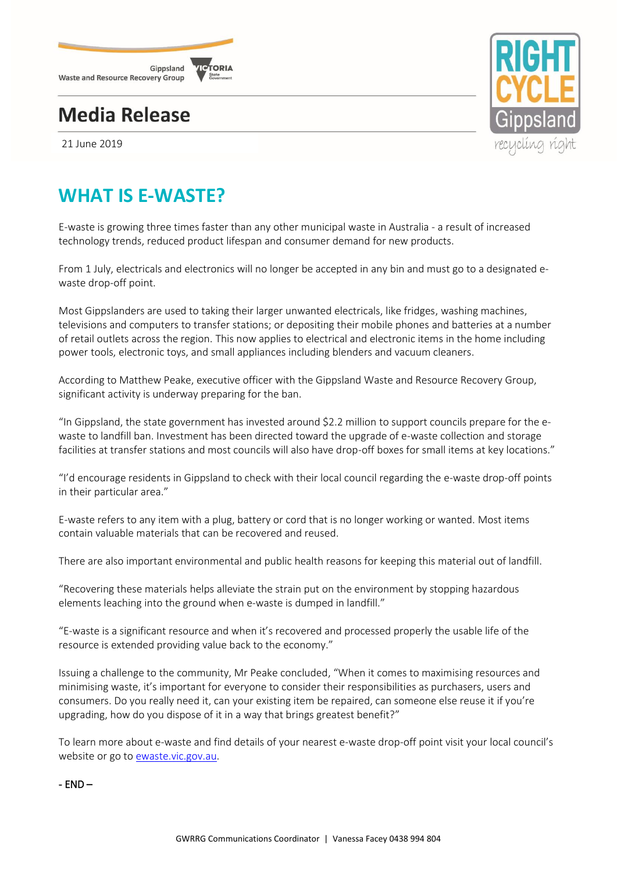

# **Media Release**

21 June 2019



# **WHAT IS E-WASTE?**

E-waste is growing three times faster than any other municipal waste in Australia - a result of increased technology trends, reduced product lifespan and consumer demand for new products.

From 1 July, electricals and electronics will no longer be accepted in any bin and must go to a designated ewaste drop-off point.

Most Gippslanders are used to taking their larger unwanted electricals, like fridges, washing machines, televisions and computers to transfer stations; or depositing their mobile phones and batteries at a number of retail outlets across the region. This now applies to electrical and electronic items in the home including power tools, electronic toys, and small appliances including blenders and vacuum cleaners.

According to Matthew Peake, executive officer with the Gippsland Waste and Resource Recovery Group, significant activity is underway preparing for the ban.

"In Gippsland, the state government has invested around \$2.2 million to support councils prepare for the ewaste to landfill ban. Investment has been directed toward the upgrade of e-waste collection and storage facilities at transfer stations and most councils will also have drop-off boxes for small items at key locations."

"I'd encourage residents in Gippsland to check with their local council regarding the e-waste drop-off points in their particular area."

E-waste refers to any item with a plug, battery or cord that is no longer working or wanted. Most items contain valuable materials that can be recovered and reused.

There are also important environmental and public health reasons for keeping this material out of landfill.

"Recovering these materials helps alleviate the strain put on the environment by stopping hazardous elements leaching into the ground when e-waste is dumped in landfill."

"E-waste is a significant resource and when it's recovered and processed properly the usable life of the resource is extended providing value back to the economy."

Issuing a challenge to the community, Mr Peake concluded, "When it comes to maximising resources and minimising waste, it's important for everyone to consider their responsibilities as purchasers, users and consumers. Do you really need it, can your existing item be repaired, can someone else reuse it if you're upgrading, how do you dispose of it in a way that brings greatest benefit?"

To learn more about e-waste and find details of your nearest e-waste drop-off point visit your local council's website or go to [ewaste.vic.gov.au.](http://www.ewaste.vic.gov.au/)

- END –